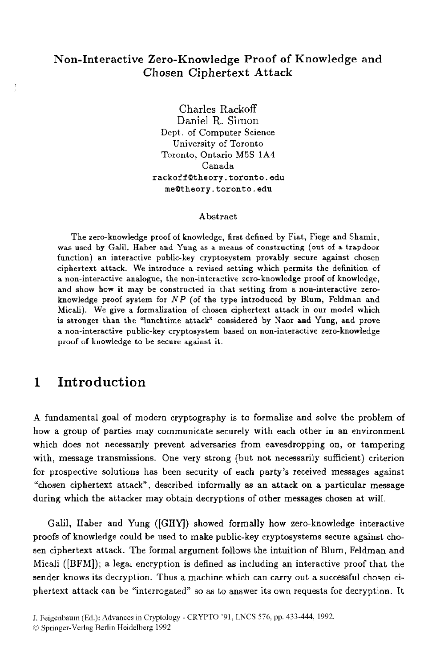#### **Non-Interactive Zero-Knowledge Proof of Knowledge and Chosen Ciphertext Attack**

Charles Rackoff Daniel R. Simon Dept. of Computer Science University of Toronto Toronto, Ontario M5S **1A4**  Canada **rackoffQthsory.toronto.edu meQtheory.toronto.edu** 

#### **Abstract**

The zero-knowledge proof of knowledge, first defined by Fiat, Fiege and Shamir, was **used by Galil, Haher** and **Yung as a means** of **constructing** (out of **a** trapdoor function) an interactive public-key cryptosystem provably secure against chosen ciphertext attack. **We** introduce a revised setting which permits the definition of a non-interactive analogue, the non-interactive zero-knowledge proof of knowledge, and show how it may be constructed in that setting from a non-interactive zeroknowledge proof system for *NP* (of the type introduced by Blum, Feldman and Micali). We give a formalization of chosen ciphertext attack in our model which is stronger than the "lunchtime attack" considered by **Naor** and Yung, and prove a non-interactive public-key cryptosystem based on non-interactive zero-knowledge proof **of** knowledge to **be** secure against it.

## **1 Introduction**

**A** fundamental goal of modern cryptography is to formalize and solve the problem of how a group of parties may communicate securely with each other in an environment which does not necessarily prevent adversaries from eavesdropping on, or tampering with, message transmissions. One very strong (but not necessarily sufficient) criterion for prospective solutions has been security of each party's received messages against "chosen ciphertext attack", described informally **as** an attack on a particular message during which the attacker may obtain decryptions of other messages chosen at will.

Galil, Haber and Yung **([GHY)** showed formally how zero-knowledge interactive proofs of knowledge could be used to make public-key cryptosystems secure against chosen ciphertext attack. The formal argument follows the intuition of Blurn, Feldman and Micali ([BFM]); a legal encryption is defined **as** including **an** interactive proof that the sender knows its decryption. Thus a machine which can carry out a successful chosen ciphertext attack can be "interrogated" so **as** to answer its own requests for decryption. It

J. Feigenbaum (Ed.): Advances in Cryptology - CRYPT0 '91, LNCS 576, pp. 433-444, 1992.

*<sup>0</sup>* Springer-Verlag Berlin Heidelberg 1992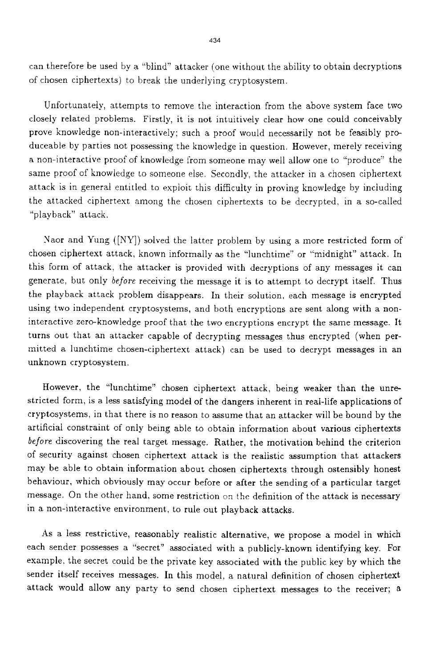can therefore be used by a "blind" attacker (one without the ability to obtain decryptions of chosen ciphertexts) to break the underlying cryptosystem.

Unfortunately, attempts to remove the interaction from the above system face two closely related problems. Firstly, it is not intuitively clear how one could conceivably prove knowledge non-interactively; such a proof would necessarily not be feasibly produceable by parties not possessing the knowledge in question. However, merely receiving a non-interactive proof of knowledge from someone may well allow one to "produce" the same proof of knowledge to someone else. Secondly, the attacker in a chosen ciphertext attack is in general entitled to exploit this difficulty in proving knowledge by including the attacked ciphertext among the chosen ciphertexts to be decrypted, in a so-called "playback" attack .

Naor and Yung ([NY]) solved the latter problem by using a more restricted form of chosen ciphertext attack, known informally as the "lunchtime" or "midnight" attack. In this form of attack, the attacker is provided with decryptions of any messages it can generate, but only *before* receiving the message it is to attempt to decrypt itself. Thus the playback attack problem disappears. In their solution, each message is encrypted using two independent cryptosystems, and both encryptions are sent along with a noninteractive zero-knowledge proof that the two encryptions encrypt the same message. It turns out that an attacker capable of decrypting messages thus encrypted (when permitted a lunchtime chosen-ciphertext attack) can be used to decrypt messages in an unknown cryptosystem.

However, the "lunchtime" chosen ciphertext attack, being weaker than the unrestricted form, is a less satisfying model of the dangers inherent in real-life applications of cryptosystems, in that there is no reason to assume that an attacker will be bound by the artificial constraint of only being able to obtain information about various ciphertexts *before* discovering the real target message. Rather. the motivation behind the criterion of security against chosen ciphertext attack is the realistic assumption that attackers may be able to obtain information about chosen ciphertexts through ostensibly honest behaviour, which obviously may occur before or after the sending of a particular target message. On the other hand. some restriction on the definition of the attack is necessary in a non-interactive environment, to rule out playback attacks.

**As** a less restrictive, reasonably realistic alternative. we propose a model in which each sender possesses a "secret" associated with a publicly-known identifying key. For example. the secret could be the private key associated with the public key by which the sender itself receives messages. In this model, a natural definition of chosen ciphertext attack would allow any party to send chosen ciphertext messages to the receiver; a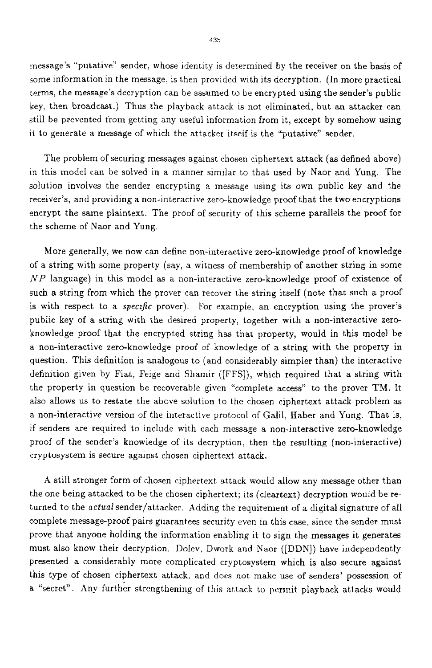message's "putative" sender. whose identity is determined by the receiver on the basis of some information in the message, is then provided with its decryption. [In more practical terms. the message's decryption can be assumed to be encrypted using the sender's public key, then broadcast.) Thus the playback attack is not eliminated, but an attacker can still be prevented from getting any useful information from it, except by somehow using it to generate a message of which the attacker itself is the "putative" sender.

The problem of securing messages against chosen ciphertext attack (as defined above) in this model can be solved in a manner similar to that used by Naor and Yung. The solution involves the sender encrypting a message using its own public key and the receiver's, and providing a non-interactive zero-knowledge proof that the two encryptions encrypt the same plaintext. The proof of security of this scheme parallels the proof for the scheme of Naor and Yung.

More generally, we now can define non-interactive zero-knowledge proof of knowledge of a string with some property (say, a witness of membership of another string in some *NP* language) in this model **as** a non-interactive zero-knowledge proof of existence of such a string from which the prover can recover the string itself (note that such a proof is with respect to a *specific* prover). For example, an encryption using the prover's public key of a string with the desired property, together with a non-interactive zeroknowledge proof that the encrypted string has that property, would in this model be a non-interactive zero-knowledge proof of knowledge of a string with the property in question. This definition is analogous to (and considerably simpler than) the interactive definition given by Fiat, Feige and Shamir ([FFS]), which required that a string with the property in question be recoverable given "complete access" to the prover TM. It also allows us to restate the above solution to the chosen ciphertext attack problem as a non-interactive version of the interactive protocol of Galil, Haber and Yung. That is, if senders are required to include with each message a non-interactive zero-knowledge proof of the sender's knowledge of its decryption, then the resulting (non-interactive) cryptosystem is secure against chosen ciphertext attack.

**A** still stronger form of chosen ciphertext attack would allow any message other than the one being attacked to be the chosen ciphertext; its (cleartext) decryption would be returned to the *actual* sender/attacker. Adding the requirement of a digital signature of all complete message-proof pairs guarantees security even in this case, since the sender must prove that anyone holding the information enabling it to sign the messages it generates must also know their decryption. Dolev, Dwork and Naor ([DDN]) have independently presented a considerably more complicated cryptosystem which is also secure against this type of chosen ciphertext attack. and does not make use of senders' possession of a "secret". Any further strengthening of this attack to permit playback attacks would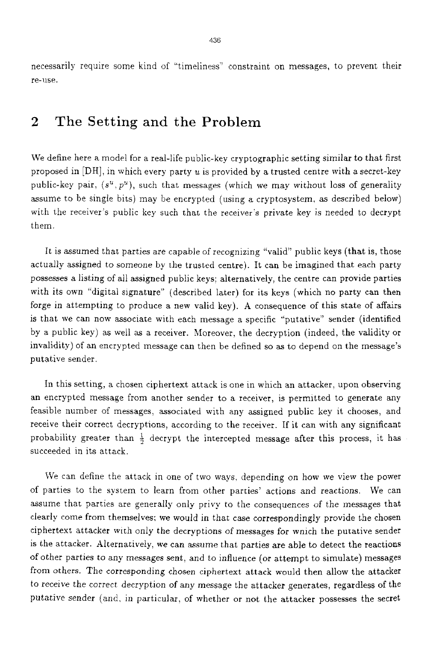necessarily require some kind of "timeliness" constraint on messages, to prevent their re-use.

## **2** The Setting **and** the Problem

We define here a model for a real-life public-key cryptographic setting similar to that first proposed in  $[DH]$ , in which every party u is provided by a trusted centre with a secret-key public-key pair,  $(s^u, p^u)$ , such that messages (which we may without loss of generality assume to be single bits) may be encrypted (using a cryptosystem. as described below) with the receiver's public key such that the receiver's private key is needed to decrypt them.

It is assumed that parties are capable of recognizing "valid" public keys (that is, those actually assigned to someone by the trusted centre). It can be imagined that each party possesses a listing of all assigned public keys: alternatively, the centre can provide parties with its own "digital signature" (described later) for its keys (which no party can then forge in attempting to produce a new valid key). **A** consequence of this state of affairs is that we can now associate with each message a specific "putative" sender (identified by a public key) as weil as a receiver. Moreover, the decryption (indeed, the validity or invalidity) of an encrypted message can then be defined so as to depend on the message's putative sender.

In this setting, a chosen ciphertext attack is one in which an attacker, upon observing an encrypted message from another sender to a receiver, is permitted to generate any feasible number of messages, associated with any assigned public key it chooses, and receive their correct decryptions, according to the receiver. **If** it can with any significant probability greater than  $\frac{1}{2}$  decrypt the intercepted message after this process, it has succeeded in its attack.

We can define the attack in one of two ways, depending on how we view the power of parties to the system to learn from other parties' actions and reactions. We can assume that parties are generally only privy to the consequences of the messages that clearly come from themselves; we would in that case correspondingly provide the chosen ciphertext attacker wich only the decryptions of messages for wnich the putative sender **is** the attacker. Alternatively, we can assume that parties are able to detect the reactions of other parties to any messages sent, and to influence (or attempt to simulate) messages from others. The corresponding chosen ciphertext attack would then allow the attacker to receive the correct decryption of any message the attacker generates, regardless of the putative sender (and, in particular, of whether or not the attacker possesses the secret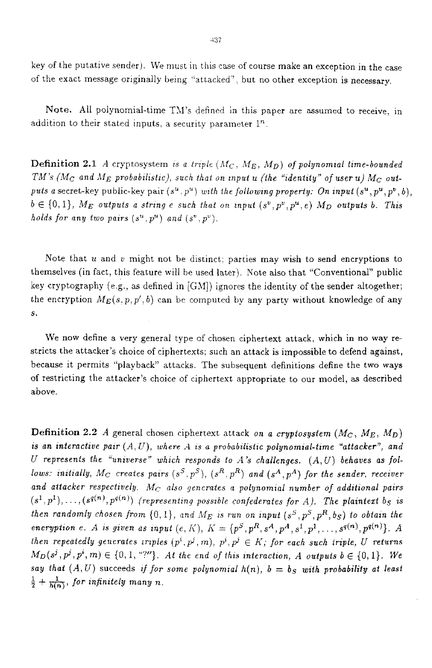key of the putative sender). We must in this case of course make an exception in the case of the exact message originally being "attacked", but no other exception is necessary

Note. All polynomial-time TM's defined in this paper **are** assumed to receive. in addition to their stated inputs, a security parameter  $1<sup>n</sup>$ .

**Definition 2.1** *A* cryptosystem is a triple  $(M_C, M_E, M_D)$  of polynomial time-bounded *TM*'s ( $M_C$  and  $M_E$  probabilistic), such that on input *u* (the "identity" of user *u*)  $M_C$  out*puts a* secret-key public-key pair  $(s^u, p^u)$  with the following property: On input  $(s^u, p^u, p^v, b)$ ,  $b \in \{0, 1\}$ ,  $M_E$  *outputs a string e such that on input*  $(s^v, p^v, p^u, e)$   $M_D$  *outputs b. This holds for any two pairs*  $(s^u, p^u)$  and  $(s^v, p^v)$ .

Note that  $u$  and  $v$  might not be distinct; parties may wish to send encryptions to themselves (in fact, this feature will he used later). Note also that "Conventional" public key cryptography (e.g., as defined in  $[GM]$ ) ignores the identity of the sender altogether; the encryption  $M_E(s, p, p', b)$  can be computed by any party without knowledge of any s.

We now define a very general type of chosen ciphertext attack, which in no way restricts the attacker's choice of ciphertexts: such an attack is impossible to defend against, because it permits "playback" attacks. The subsequent definitions define the two **ways**  of restricting the attacker's choice of ciphertext appropriate to our model, **as** described above.

**Definition 2.2** *A* general chosen ciphertext attack *on a cryptosystem*  $(M_C, M_E, M_D)$ *is an interactive pair*  $(A, U)$ , where  $A$  is a probabilistic polynomial-time "attacker", and  $U$  represents the "universe" which responds to A's challenges.  $(A, U)$  behaves as fol*lows: initially, M<sub>C</sub> creates pairs*  $(s^S, p^S)$ ,  $(s^R, p^R)$  and  $(s^A, p^A)$  for the sender, receiver and attacker respectively.  $M_C$  also generates a polynomial number of additional pairs  $(s^1, p^1), \ldots, (s^{q(n)}, p^{q(n)})$  (representing possible confederates for *A*). The plaintext  $b_S$  is *then randomly chosen from*  $\{0, 1\}$ , and  $M_E$  is run on input  $(s^S, p^S, p^R, b_S)$  to obtain the *encryption e.* A *is given as input*  $(e, K)$ ,  $K = {p^S, p^R, s^A, p^A, s^1, p^1, ..., s^{g(n)}, p^{g(n)}}$ . A *then repeatedly generates iraples*  $(p^i, p^j, m)$ ,  $p^i, p^j \in K$ ; for each such iriple, U returns  $M_D(s^j, p^i, m) \in \{0, 1, \text{``?''}\}\$ . At the end of this interaction, A outputs  $b \in \{0, 1\}$ . We *say that*  $(A, U)$  succeeds *if for some polynomial*  $h(n)$ ,  $b = b_S$  *with probability at least*  $\frac{1}{2} + \frac{1}{h(n)}$ , for infinitely many n.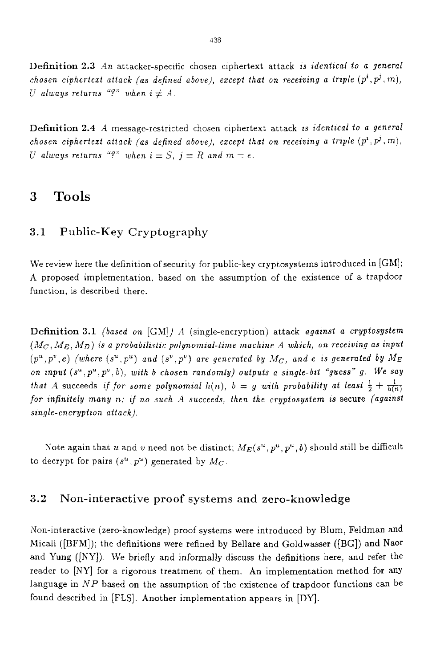Definition 2.3 An attacker-specific chosen ciphertext attack is *identical to a general chosen ciphertext attack (as defined above), except that on receiving a triple*  $(p^i, p^j, m)$ , *U always returns* "?" *when*  $i \neq A$ .

Definition 2.4 *A* message-restricted chosen ciphertext attack is *identical to a general chosen ciphertext attack (as defined above), except that on receiving a triple*  $(p^i, p^j, m)$ , *U always returns*  $i^{q}$  *"?" when*  $i = S$ ,  $j = R$  *and*  $m = e$ .

## **3** Tools

#### **3.1** Public-Key Cryptography

We review here the definition of security for public-key cryptosystems introduced in  $[GM]$ ; **A** proposed implementation. based on the assumption of the existence of a trapdoor function, is described there.

Definition 3.1 *(based on* [GM]) *A* (single-encryption) attack *against a cryptosystem*  $(M_C, M_E, M_D)$  is a probabilistic polynomial-time machine A which, on receiving as input  $(p^u, p^v, e)$  (where  $(s^u, p^u)$  and  $(s^v, p^v)$  are generated by  $M_C$ , and e is generated by  $M_E$ on input  $(s^u, p^u, p^v, b)$ , with b chosen randomly) outputs a single-bit "guess" g. We say *that* A succeeds if for some polynomial  $h(n)$ ,  $b = g$  with probability at least  $\frac{1}{2} + \frac{1}{h(n)}$ *for znfinztely many* n: If *no such A succeeds, then the cryptosystem* **2s** secure *(agaznst*   $single\text{-}encryption$  *attack*).

Note again that *u* and *v* need not be distinct;  $M_E(s^u, p^u, p^u, b)$  should still be difficult to decrypt for pairs  $(s^u, p^u)$  generated by  $M_C$ .

#### **3.2** Non-interactive proof systems and zero-knowledge

.Yon-interactive (zero-knowledge) proof systems were introduced by Blum, Feldman and Micali ([BFM]); the definitions were refined by Bellare and Goldwasser ([BG]) and **Naor**  and Yung ([NY]). We briefly and informally discuss the definitions here, and refer the reader to **[NY]** for a rigorous treatment of them. An implementation method for any language in *NP* based on the assumption of the existence of trapdoor functions can be found described in [FLS]. Another implementation appears in [DY].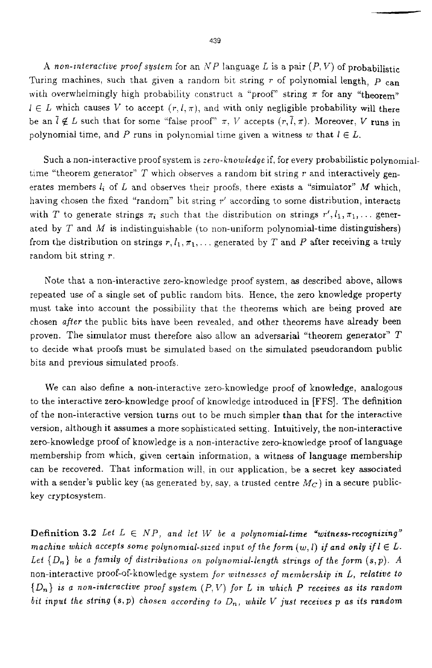A *non-interactive proof system* for an  $NP$  language *L* is a pair  $(P, V)$  of probabilistic Turing machines, such that given a random bit string *r* of polynomial length, *p* can with overwhelmingly high probability construct a "proof" string  $\pi$  for any "theorem"  $l \in L$  which causes *V* to accept  $(r, l, \pi)$ , and with only negligible probability will there be an  $\bar{l} \notin L$  such that for some "false proof"  $\pi$ , V accepts  $(r, \bar{l}, \pi)$ . Moreover, V runs in polynomial time, and *P* runs in polynomial time given a witness w that  $l \in L$ .

Such a non-interactive proof system is *zero-knowledge* if, for every probabilistic polynomialtime "theorem generator" *T* which observes a random bit string *r* and interactively generates members  $l_i$  of  $L$  and observes their proofs, there exists a "simulator"  $M$  which, having chosen the fixed "random" bit string *1''* according to some distribution, interacts with T to generate strings  $\pi_i$  such that the distribution on strings  $r', l_1, \pi_1, \ldots$  generated by  $T$  and  $M$  is indistinguishable (to non-uniform polynomial-time distinguishers) from the distribution on strings  $r, l_1, \pi_1, \ldots$  generated by T and P after receiving a truly random bit string r.

Note that a non-interactive zero-knowledge proof system, **as** described above, allows repeated use of a single set of public random bits. Hence, the zero knowledge property must take into account the possibiiity that the theorems which are being proved are chosen *after* the public bits have been revealed, and other theorems have already been proven. The simulator must therefore also allow an adversarial "theorem generator" *T*  to decide what proofs must be simulated based on the simulated pseudorandom public bits and previous simulated proofs.

We can also define a non-interactive zero-knowledge proof of knowledge, analogous to the interactive zero-knowledge proof of knowledge introduced in [FFS]. The definition of the non-interactive version turns out to be much simpler than that for the interactive version, although it assumes a more sophisticated setting. Intuitively, the non-interactive zero-knowledge proof of knowledge is a non-interactive zero-knowledge proof of language membership from which, given certain information, a witness of language membership can be recovered. That information will, in our application, be a secret key associated with a sender's public key (as generated by, say, a trusted centre  $M_C$ ) in a secure publickey crypbosystem.

**Definition 3.2** Let  $L \in NP$ , and let W be a polynomial-time "witness-recognizing" *machine which accepts some polynomial-sized input of the form*  $(w, l)$  *if and only if*  $l \in L$ *.* Let  $\{D_n\}$  be a family of distributions on polynomial-length strings of the form  $(s, p)$ . A non-interactive proof-of-knowledge system *for zuztnesses* of *membership in L, relative to*   $\{D_n\}$  is a non-interactive proof system  $(P, V)$  for *L* in which *P* receives as its random *bit input the string*  $(s, p)$  *chosen according to*  $D_n$ *, while V just receives p as its random*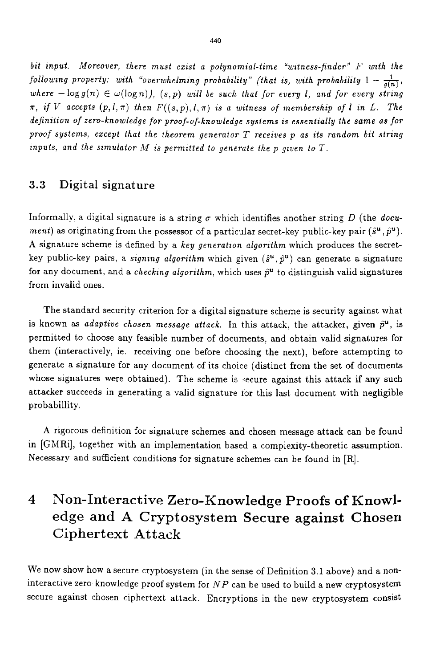bit input. Moreover, there must exist a polynomial-time "witness-finder" F with the *following property: with "overwhelming probability" (that is, with probability*  $1-\frac{1}{a(n)}$ , where  $-\log g(n) \in \omega(\log n)$ ,  $(s, p)$  will be such that for every *l*, and for every string  $\pi$ , *if V* accepts  $(p, l, \pi)$  *then*  $F((s, p), l, \pi)$  *is a witness of membership of l in L. The definztion of zero-knowledge* for *proof-of-knowledge systems is essentaally the same as for*  proof systems, except that the theorem generator T receives p as its random bit string  $\mathbf{z}$  *inputs, and the simulator M is permitted to generate the p given to T.* 

### **3.3** Digital signature

Informally, a digital signature is a string  $\sigma$  which identifies another string D (the *document*) as originating from the possessor of a particular secret-key public-key pair  $(\hat{s}^u, \hat{p}^u)$ . **A** signature scheme is defined by a *key generatzon algorithm* which produces the secretkey public-key pairs, a *signing algorithm* which given  $(\hat{s}^u, \hat{p}^u)$  can generate a signature for any document, and a *checking algorithm*, which uses  $\hat{p}^u$  to distinguish valid signatures from invalid ones.

The standard security criterion for **a** digital signature scheme is security against what is known as *adaptive chosen message attack*. In this attack, the attacker, given  $\hat{p}^u$ , is permitted to choose any feasible number of documents, and obtain valid signatures for them (interactively, ie. receiving one before choosing the next), before attempting to generate a signature for any document of its choice (distinct from the set of documents whose signatures were obtained). The scheme is secure against this attack if any such attacker succeeds in generating a valid signature for this last document with negligible probabillity.

**A** rigorous definition for signature schemes and chosen message attack can be found in [GMRi], together with an implementation based a complexity-theoretic assumption. Necessary and sufficient conditions for signature schemes can be found in [R].

# **4 Non-Interactive Zero-Knowledge Proofs of Knowledge** and **A Cryptosystem Secure against Chosen Ciphertext Attack**

We now show how a secure cryptosystem (in the sense of Definition **3.1** above) and a noninteractive zero-knowledge proof system for *NP* can be used to build a new cryptosystem secure against chosen ciphertext attack. Encryptions in the new cryptosystem consist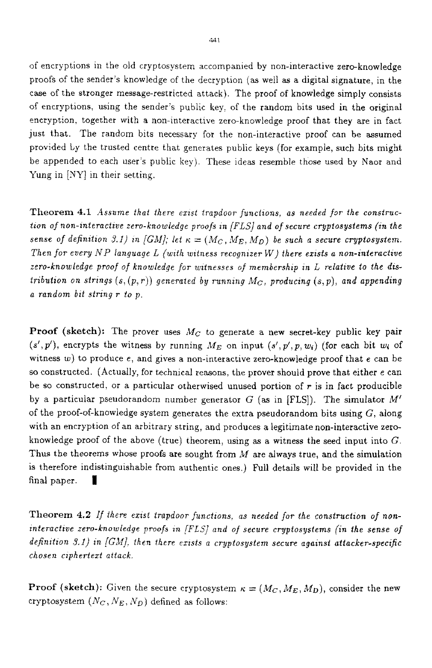of encryptions in the old cryptosystern accompanied by non-interactive zero-knowledge proofs of the sender's knowledge of the decryption (as well **as** a digital signature, in the case of the stronger message-restricted attack). The proof of knowledge simply consists of encryptions, using the sender's public key, of the random bits used in the original encryption, together with a non-interactive zero-knowledge proof that they are in fact just that. The random bits necessary for the non-interactive proof can be assumed provided Ly the trusted centre that generates public keys (for example, such bits might be appended to each user's public key). These ideas resemble those used by Naor and Yung in *[XY]* in their setting.

**Theorem 4.1** *Assume that there exist trapdoor functions, as needed for the construction of non-interactive zero-knowledge proofs in [FLS] and of secure cryptosystems (in the sense of definition 3.1) in [GM]; let*  $\kappa = (M_C, M_E, M_D)$  be such a secure cryptosystem. *Then for every NP language L (with witness recognizer W) there exists a non-interactive zero-knowledge proof of knowledge* for *witnesses of membershap tn L relatave to the dtstribution on strings*  $(s,(p,r))$  generated by running  $M_C$ , producing  $(s,p)$ , and appending *a random bat strang r to p.* 

**Proof (sketch):** The prover uses  $M_C$  to generate a new secret-key public key pair  $(s', p')$ , encrypts the witness by running  $M_E$  on input  $(s', p', p, w_i)$  (for each bit  $w_i$  of witness *w)* to produce *e,* and gives a non-interactive zero-knowledge proof that *e* can be *so* constructed. (Actually, for technical reasons, the prover should prove that either e can be so constructed, or a particular otherwised unused portion of *r* is in fact producible by a particular pseudorandom number generator G **(as** in [FLS]). The simulator *M'*  of the proof-of-knowledge system generates the extra pseudorandom bits using  $G$ , along with an encryption of an arbitrary string, and produces a legitimate non-interactive zeroknowledge proof of the above (true) theorem, using **as** a witness the seed input into G. Thus the theorems whose proofs are sought from *M* are always true, and the simulation is therefore indistinguishable from authentic ones.) Full details will be provided in the final paper. **1** 

Theorem 4.2 If there exist trapdoor functions, as needed for the construction of non*interactive zero-knowledge proofs in [FLS] and of secure cryptosystems (in the sense of dejinztzon 3. I) in [GM]. !hen there exists a cryptosystem secure agatnsi attacker-speczfic chosen ciphertext attack,* 

**Proof (sketch):** Given the secure cryptosystem  $\kappa = (M_C, M_E, M_D)$ , consider the new cryptosystem  $(N_C, N_E, N_D)$  defined as follows: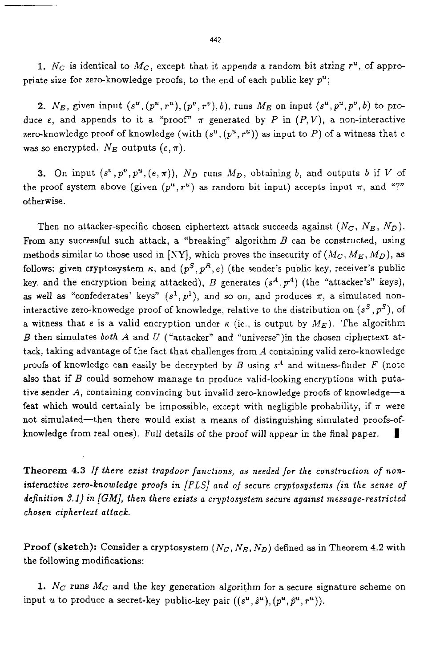**1.**  $N_c$  is identical to  $M_c$ , except that it appends a random bit string  $r^u$ , of appropriate size for zero-knowledge proofs, to the end of each public key *p";* 

2.  $N_E$ , given input  $(s^u, (p^u, r^u), (p^v, r^v), b)$ , runs  $M_E$  on input  $(s^u, p^u, p^v, b)$  to produce *e*, and appends to it a "proof"  $\pi$  generated by *P* in  $(P, V)$ , a non-interactive zero-knowledge proof of knowledge (with  $(s^u, (p^u, r^u))$  as input to P) of a witness that *e* was so encrypted.  $N_E$  outputs  $(e, \pi)$ .

**3.** On input  $(s^v, p^v, p^u, (e, \pi))$ ,  $N_D$  runs  $M_D$ , obtaining *b*, and outputs *b* if *V* of the proof system above (given  $(p^u, r^u)$  as random bit input) accepts input  $\pi$ , and "?" otherwise.

Then no attacker-specific chosen ciphertext attack succeeds against  $(N_c, N_E, N_D)$ . From any successful such attack, a "breaking" algorithm *B* can be constructed, using methods similar to those used in [NY], which proves the insecurity of *(Mc, ME, MD),* **as**  follows: given cryptosystem  $\kappa$ , and  $(p^S, p^R, e)$  (the sender's public key, receiver's public key, and the encryption being attacked), *B* generates  $(s<sup>4</sup>, p<sup>4</sup>)$  (the "attacker's" keys), **as well as "confederates' keys"**  $(s^1, p^1)$ **, and so on, and produces**  $\pi$ **, a simulated non**interactive zero-knowedge proof of knowledge, relative to the distribution on  $(s^S, p^S)$ , of a witness that *e* is a valid encryption under  $\kappa$  (ie., is output by  $M_E$ ). The algorithm *B* then simulates *both A* and *U* ("attacker" and "universe-')in the chosen ciphertext attack, taking advantage of the fact that challenges from *A* containing valid zero-knowledge proofs of knowledge can easily be decrypted by *B* using  $s<sup>A</sup>$  and witness-finder F (note also that if *B* could somehow manage to produce vaIid-looking encryptions with putative sender *A,* containing convincing but invalid zero-knowledge proofs of knowledge-a feat which would certainly be impossible, except with negligible probability, if  $\pi$  were not simulated-then there would exist a means of distinguishing simulated proofs-ofknowledge from real ones). Full details of the proof will appear in the final paper. **I** 

**Theorem 4.3** *If there erist trapdoor functions, as needed for the construction of noninteractive zero-knowledge proofs an [FLS] and of secure cryptosystems (in the sense* of *definition 3.1) in [GM], then there ezists a cryptosystem secure against message-restricted chosen cipherled aftack.* 

**Proof (sketch):** Consider a cryptosystem *(Nc, NE, No)* defined **as** in Theorem **4.2** with the following modifications:

1. *Nc* runs *Mc* and the key generation algorithm for a secure signature scheme on input *u* to produce a secret-key public-key pair  $((s^u, \hat{s}^u), (p^u, \hat{p}^u, r^u)).$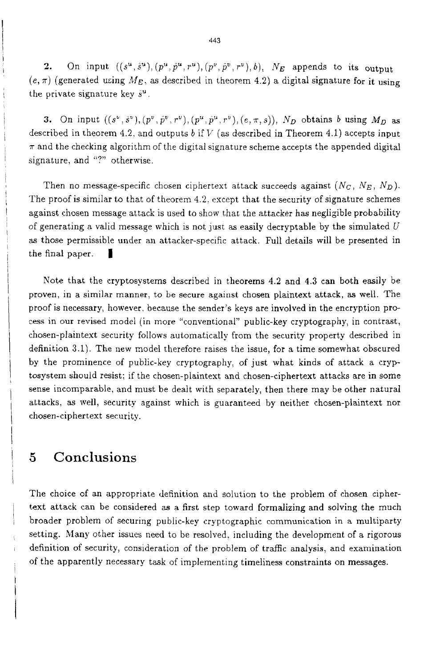**2.** On input  $((s^u, \hat{s}^u), (p^u, \hat{p}^u, r^u), (p^v, \hat{p}^v, r^v), b), N_E$  appends to its output  $(e, \pi)$  (generated using  $M_E$ , as described in theorem 4.2) a digital signature for it using the private signature key  $\hat{s}^u$ .

**3.** On input  $((s^{\nu}, \tilde{s}^{\nu}), (p^{\nu}, \tilde{p}^{\nu}, r^{\nu}), (p^{\mu}, \tilde{p}^{\mu}, r^{\nu}), (e, \pi, s)), N_D$  obtains *b* using  $M_D$  as described in theorem **4.2.** and outputs *b* if I/ **(as** described in Theorem 4.1) accepts input  $\pi$  and the checking algorithm of the digital signature scheme accepts the appended digital signature, and "?" otherwise.

Then no message-specific chosen ciphertext attack succeeds against  $(N_c, N_E, N_D)$ . The proof is similar to that of theorem **4.2.** except that the security of signature schemes against chosen message attack is used to show that the attacker has negligible probability of generating a valid message which is not just as easily decryptable by the simulated *U*  as those permissible under an attacker-specific attack. Full details will be presented in the final paper.

Note that the cryptosystems described in theorems **4.2** and **4.3** can both easily be proven, in a similar manner, to be secure against chosen plaintext attack, **as** well. The proof is necessary, however, because the sender's keys are involved in the encryption pro*cess* in our revised model (in more "conventional" public-key cryptography, in contrast, chosen-plaintext security follows automatically from the security property described in definition 3.1). The new model therefore raises the issue, for a time somewhat obscured by the prominence of public-key cryptography, of just what kinds of attack **a** cryptosystem should resist; if the chosen-plaintext and chosen-ciphertext attacks are in some sense incomparable, and must be dealt with separately, then there may be other natural attacks, as well, security against which is guaranteed by neither chosen-plaintext nor chosen-ciphertext security.

## *5* Conclusions

I

!

i

/ i i

I

I i The choice of an appropriate definition and solution to the problem of chosen ciphertext attack can be considered as a first step toward formalizing and solving the much broader problem of securing public-key cryptographic communication in a multiparty setting. Many other issues need to be resolved, including the development of a rigorous definition of security, consideration of the problem of traffic analysis, and examination of the apparently necessary task of implementing timeliness constraints on messages.